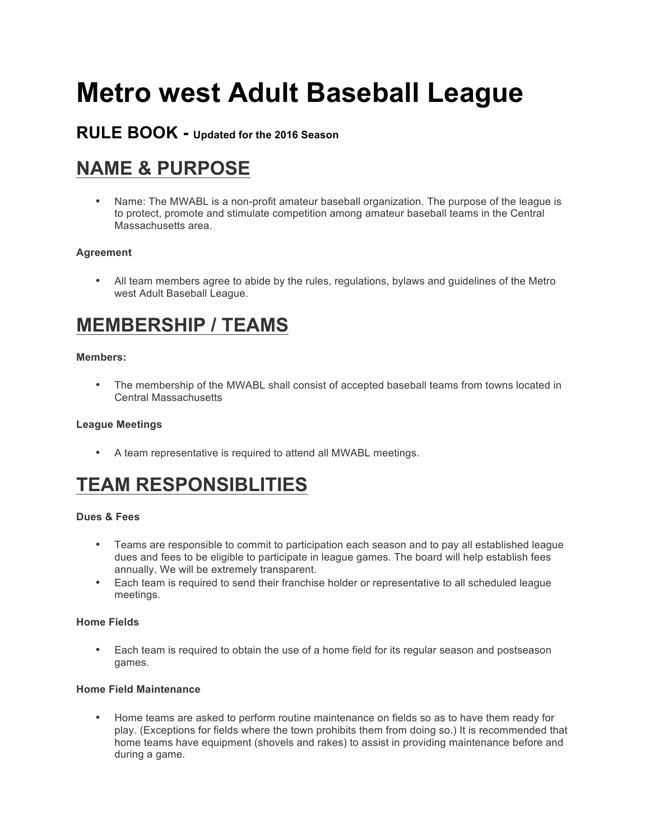# **Metro west Adult Baseball League**

# **RULE BOOK - Updated for the 2016 Season**

# **NAME & PURPOSE**

• Name: The MWABL is a non-profit amateur baseball organization. The purpose of the league is to protect, promote and stimulate competition among amateur baseball teams in the Central Massachusetts area.

# **Agreement**

• All team members agree to abide by the rules, regulations, bylaws and guidelines of the Metro west Adult Baseball League.

# **MEMBERSHIP / TEAMS**

# **Members:**

• The membership of the MWABL shall consist of accepted baseball teams from towns located in Central Massachusetts

### **League Meetings**

• A team representative is required to attend all MWABL meetings.

# **TEAM RESPONSIBLITIES**

# **Dues & Fees**

- Teams are responsible to commit to participation each season and to pay all established league dues and fees to be eligible to participate in league games. The board will help establish fees annually. We will be extremely transparent.
- Each team is required to send their franchise holder or representative to all scheduled league meetings.

# **Home Fields**

• Each team is required to obtain the use of a home field for its regular season and postseason games.

### **Home Field Maintenance**

• Home teams are asked to perform routine maintenance on fields so as to have them ready for play. (Exceptions for fields where the town prohibits them from doing so.) It is recommended that home teams have equipment (shovels and rakes) to assist in providing maintenance before and during a game.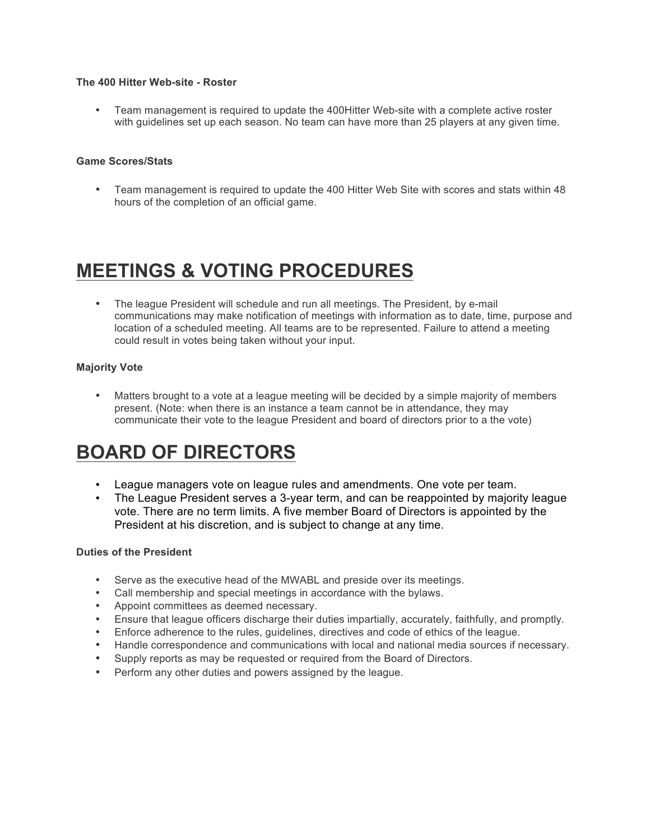### **The 400 Hitter Web-site - Roster**

• Team management is required to update the 400Hitter Web-site with a complete active roster with guidelines set up each season. No team can have more than 25 players at any given time.

#### **Game Scores/Stats**

• Team management is required to update the 400 Hitter Web Site with scores and stats within 48 hours of the completion of an official game.

# **MEETINGS & VOTING PROCEDURES**

• The league President will schedule and run all meetings. The President, by e-mail communications may make notification of meetings with information as to date, time, purpose and location of a scheduled meeting. All teams are to be represented. Failure to attend a meeting could result in votes being taken without your input.

# **Majority Vote**

• Matters brought to a vote at a league meeting will be decided by a simple majority of members present. (Note: when there is an instance a team cannot be in attendance, they may communicate their vote to the league President and board of directors prior to a the vote)

# **BOARD OF DIRECTORS**

- League managers vote on league rules and amendments. One vote per team.
- The League President serves a 3-year term, and can be reappointed by majority league vote. There are no term limits. A five member Board of Directors is appointed by the President at his discretion, and is subject to change at any time.

#### **Duties of the President**

- Serve as the executive head of the MWABL and preside over its meetings.
- Call membership and special meetings in accordance with the bylaws.
- Appoint committees as deemed necessary.
- Ensure that league officers discharge their duties impartially, accurately, faithfully, and promptly.
- Enforce adherence to the rules, guidelines, directives and code of ethics of the league.
- Handle correspondence and communications with local and national media sources if necessary.
- Supply reports as may be requested or required from the Board of Directors.
- Perform any other duties and powers assigned by the league.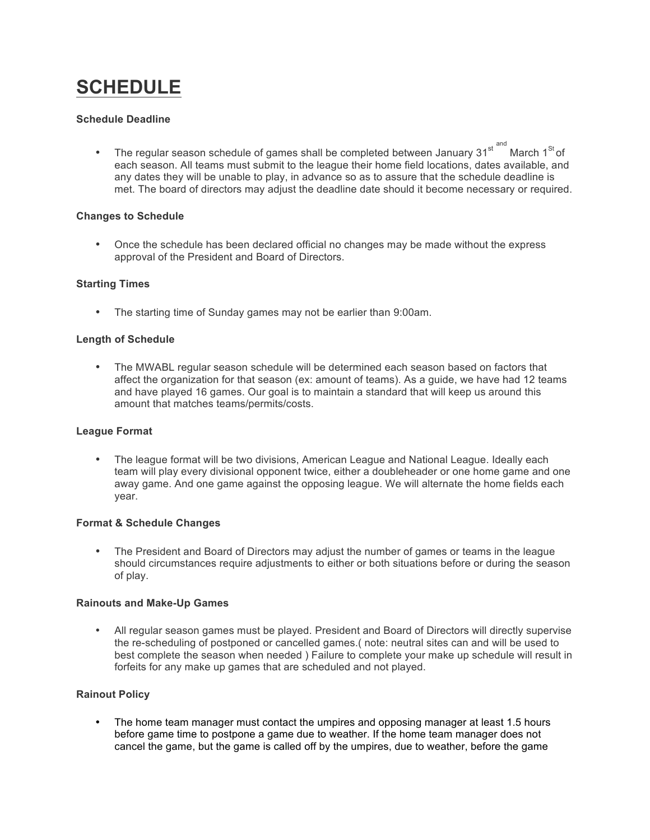# **SCHEDULE**

#### **Schedule Deadline**

• The regular season schedule of games shall be completed between January  $31<sup>st</sup>$ <sup>and</sup> March  $1<sup>St</sup>$  of each season. All teams must submit to the league their home field locations, dates available, and any dates they will be unable to play, in advance so as to assure that the schedule deadline is met. The board of directors may adjust the deadline date should it become necessary or required.

### **Changes to Schedule**

• Once the schedule has been declared official no changes may be made without the express approval of the President and Board of Directors.

### **Starting Times**

• The starting time of Sunday games may not be earlier than 9:00am.

### **Length of Schedule**

• The MWABL regular season schedule will be determined each season based on factors that affect the organization for that season (ex: amount of teams). As a guide, we have had 12 teams and have played 16 games. Our goal is to maintain a standard that will keep us around this amount that matches teams/permits/costs.

#### **League Format**

• The league format will be two divisions, American League and National League. Ideally each team will play every divisional opponent twice, either a doubleheader or one home game and one away game. And one game against the opposing league. We will alternate the home fields each year.

#### **Format & Schedule Changes**

• The President and Board of Directors may adjust the number of games or teams in the league should circumstances require adjustments to either or both situations before or during the season of play.

#### **Rainouts and Make-Up Games**

• All regular season games must be played. President and Board of Directors will directly supervise the re-scheduling of postponed or cancelled games.( note: neutral sites can and will be used to best complete the season when needed ) Failure to complete your make up schedule will result in forfeits for any make up games that are scheduled and not played.

# **Rainout Policy**

• The home team manager must contact the umpires and opposing manager at least 1.5 hours before game time to postpone a game due to weather. If the home team manager does not cancel the game, but the game is called off by the umpires, due to weather, before the game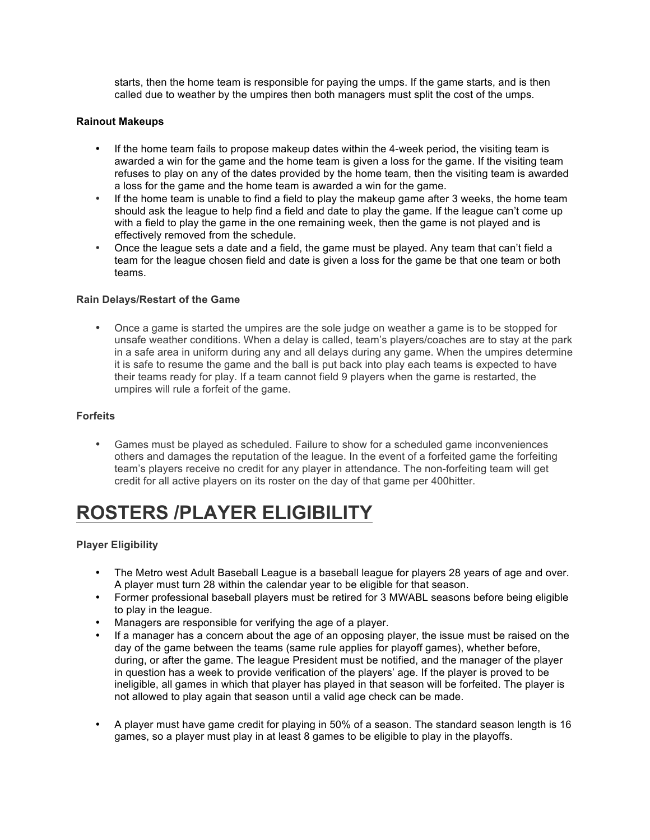starts, then the home team is responsible for paying the umps. If the game starts, and is then called due to weather by the umpires then both managers must split the cost of the umps.

### **Rainout Makeups**

- If the home team fails to propose makeup dates within the 4-week period, the visiting team is awarded a win for the game and the home team is given a loss for the game. If the visiting team refuses to play on any of the dates provided by the home team, then the visiting team is awarded a loss for the game and the home team is awarded a win for the game.
- If the home team is unable to find a field to play the makeup game after 3 weeks, the home team should ask the league to help find a field and date to play the game. If the league can't come up with a field to play the game in the one remaining week, then the game is not played and is effectively removed from the schedule.
- Once the league sets a date and a field, the game must be played. Any team that can't field a team for the league chosen field and date is given a loss for the game be that one team or both teams.

### **Rain Delays/Restart of the Game**

• Once a game is started the umpires are the sole judge on weather a game is to be stopped for unsafe weather conditions. When a delay is called, team's players/coaches are to stay at the park in a safe area in uniform during any and all delays during any game. When the umpires determine it is safe to resume the game and the ball is put back into play each teams is expected to have their teams ready for play. If a team cannot field 9 players when the game is restarted, the umpires will rule a forfeit of the game.

#### **Forfeits**

• Games must be played as scheduled. Failure to show for a scheduled game inconveniences others and damages the reputation of the league. In the event of a forfeited game the forfeiting team's players receive no credit for any player in attendance. The non-forfeiting team will get credit for all active players on its roster on the day of that game per 400hitter.

# **ROSTERS /PLAYER ELIGIBILITY**

# **Player Eligibility**

- The Metro west Adult Baseball League is a baseball league for players 28 years of age and over. A player must turn 28 within the calendar year to be eligible for that season.
- Former professional baseball players must be retired for 3 MWABL seasons before being eligible to play in the league.
- Managers are responsible for verifying the age of a player.
- If a manager has a concern about the age of an opposing player, the issue must be raised on the day of the game between the teams (same rule applies for playoff games), whether before, during, or after the game. The league President must be notified, and the manager of the player in question has a week to provide verification of the players' age. If the player is proved to be ineligible, all games in which that player has played in that season will be forfeited. The player is not allowed to play again that season until a valid age check can be made.
- A player must have game credit for playing in 50% of a season. The standard season length is 16 games, so a player must play in at least 8 games to be eligible to play in the playoffs.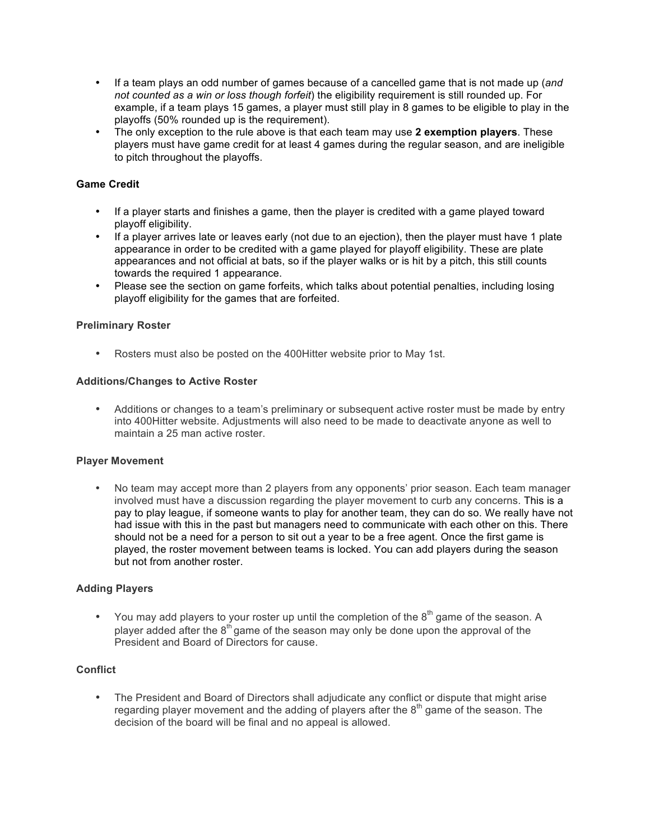- If a team plays an odd number of games because of a cancelled game that is not made up (*and not counted as a win or loss though forfeit*) the eligibility requirement is still rounded up. For example, if a team plays 15 games, a player must still play in 8 games to be eligible to play in the playoffs (50% rounded up is the requirement).
- The only exception to the rule above is that each team may use **2 exemption players**. These players must have game credit for at least 4 games during the regular season, and are ineligible to pitch throughout the playoffs.

# **Game Credit**

- If a player starts and finishes a game, then the player is credited with a game played toward playoff eligibility.
- If a player arrives late or leaves early (not due to an ejection), then the player must have 1 plate appearance in order to be credited with a game played for playoff eligibility. These are plate appearances and not official at bats, so if the player walks or is hit by a pitch, this still counts towards the required 1 appearance.
- Please see the section on game forfeits, which talks about potential penalties, including losing playoff eligibility for the games that are forfeited.

#### **Preliminary Roster**

• Rosters must also be posted on the 400Hitter website prior to May 1st.

#### **Additions/Changes to Active Roster**

• Additions or changes to a team's preliminary or subsequent active roster must be made by entry into 400Hitter website. Adjustments will also need to be made to deactivate anyone as well to maintain a 25 man active roster.

#### **Player Movement**

• No team may accept more than 2 players from any opponents' prior season. Each team manager involved must have a discussion regarding the player movement to curb any concerns. This is a pay to play league, if someone wants to play for another team, they can do so. We really have not had issue with this in the past but managers need to communicate with each other on this. There should not be a need for a person to sit out a year to be a free agent. Once the first game is played, the roster movement between teams is locked. You can add players during the season but not from another roster.

#### **Adding Players**

• You may add players to your roster up until the completion of the  $8<sup>th</sup>$  game of the season. A player added after the  $8<sup>th</sup>$  game of the season may only be done upon the approval of the President and Board of Directors for cause.

#### **Conflict**

• The President and Board of Directors shall adjudicate any conflict or dispute that might arise regarding player movement and the adding of players after the  $8<sup>th</sup>$  game of the season. The decision of the board will be final and no appeal is allowed.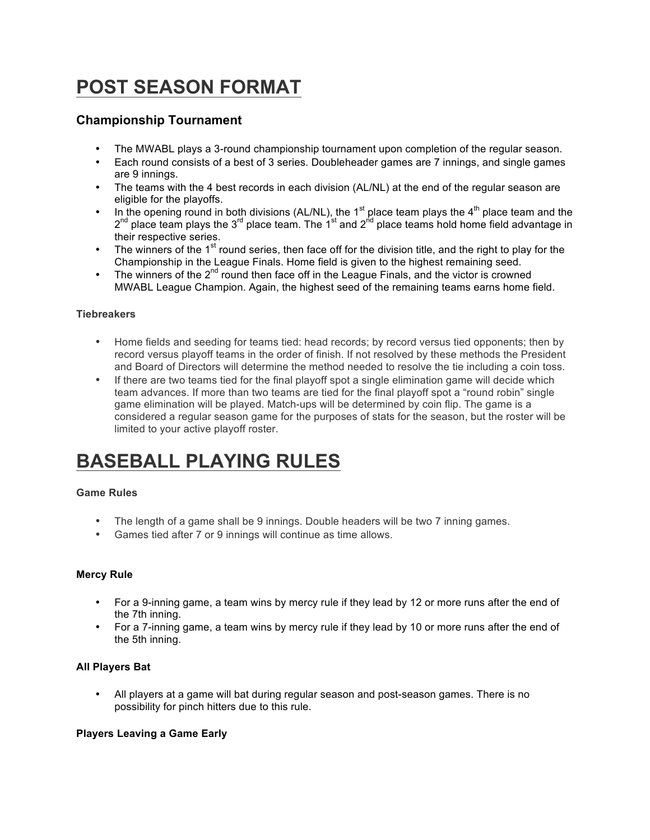# **POST SEASON FORMAT**

# **Championship Tournament**

- The MWABL plays a 3-round championship tournament upon completion of the regular season.
- Each round consists of a best of 3 series. Doubleheader games are 7 innings, and single games are 9 innings.
- The teams with the 4 best records in each division (AL/NL) at the end of the regular season are eligible for the playoffs.
- In the opening round in both divisions (AL/NL), the 1<sup>st</sup> place team plays the 4<sup>th</sup> place team and the  $2^{nd}$  place team plays the  $3^{rd}$  place team. The  $1^{st}$  and  $2^{nd}$  place teams hold home field advantage in their respective series.
- The winners of the  $1<sup>st</sup>$  round series, then face off for the division title, and the right to play for the Championship in the League Finals. Home field is given to the highest remaining seed.
- The winners of the 2<sup>nd</sup> round then face off in the League Finals, and the victor is crowned MWABL League Champion. Again, the highest seed of the remaining teams earns home field.

# **Tiebreakers**

- Home fields and seeding for teams tied: head records; by record versus tied opponents; then by record versus playoff teams in the order of finish. If not resolved by these methods the President and Board of Directors will determine the method needed to resolve the tie including a coin toss.
- If there are two teams tied for the final playoff spot a single elimination game will decide which team advances. If more than two teams are tied for the final playoff spot a "round robin" single game elimination will be played. Match-ups will be determined by coin flip. The game is a considered a regular season game for the purposes of stats for the season, but the roster will be limited to your active playoff roster.

# **BASEBALL PLAYING RULES**

# **Game Rules**

- The length of a game shall be 9 innings. Double headers will be two 7 inning games.
- Games tied after 7 or 9 innings will continue as time allows.

# **Mercy Rule**

- For a 9-inning game, a team wins by mercy rule if they lead by 12 or more runs after the end of the 7th inning.
- For a 7-inning game, a team wins by mercy rule if they lead by 10 or more runs after the end of the 5th inning.

#### **All Players Bat**

• All players at a game will bat during regular season and post-season games. There is no possibility for pinch hitters due to this rule.

#### **Players Leaving a Game Early**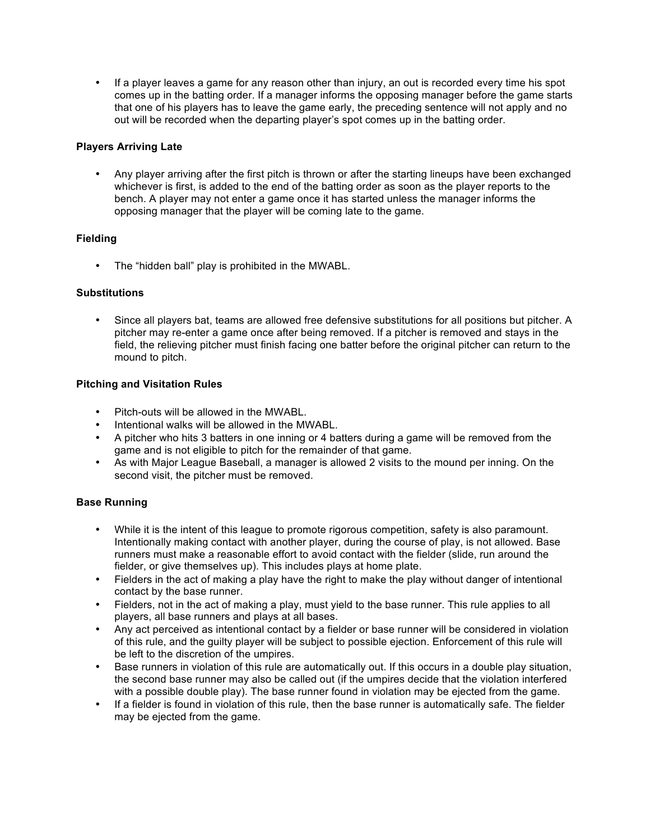• If a player leaves a game for any reason other than injury, an out is recorded every time his spot comes up in the batting order. If a manager informs the opposing manager before the game starts that one of his players has to leave the game early, the preceding sentence will not apply and no out will be recorded when the departing player's spot comes up in the batting order.

### **Players Arriving Late**

• Any player arriving after the first pitch is thrown or after the starting lineups have been exchanged whichever is first, is added to the end of the batting order as soon as the player reports to the bench. A player may not enter a game once it has started unless the manager informs the opposing manager that the player will be coming late to the game.

### **Fielding**

• The "hidden ball" play is prohibited in the MWABL.

#### **Substitutions**

• Since all players bat, teams are allowed free defensive substitutions for all positions but pitcher. A pitcher may re-enter a game once after being removed. If a pitcher is removed and stays in the field, the relieving pitcher must finish facing one batter before the original pitcher can return to the mound to pitch.

### **Pitching and Visitation Rules**

- Pitch-outs will be allowed in the MWABL.
- Intentional walks will be allowed in the MWABL.
- A pitcher who hits 3 batters in one inning or 4 batters during a game will be removed from the game and is not eligible to pitch for the remainder of that game.
- As with Major League Baseball, a manager is allowed 2 visits to the mound per inning. On the second visit, the pitcher must be removed.

# **Base Running**

- While it is the intent of this league to promote rigorous competition, safety is also paramount. Intentionally making contact with another player, during the course of play, is not allowed. Base runners must make a reasonable effort to avoid contact with the fielder (slide, run around the fielder, or give themselves up). This includes plays at home plate.
- Fielders in the act of making a play have the right to make the play without danger of intentional contact by the base runner.
- Fielders, not in the act of making a play, must yield to the base runner. This rule applies to all players, all base runners and plays at all bases.
- Any act perceived as intentional contact by a fielder or base runner will be considered in violation of this rule, and the guilty player will be subject to possible ejection. Enforcement of this rule will be left to the discretion of the umpires.
- Base runners in violation of this rule are automatically out. If this occurs in a double play situation, the second base runner may also be called out (if the umpires decide that the violation interfered with a possible double play). The base runner found in violation may be ejected from the game.
- If a fielder is found in violation of this rule, then the base runner is automatically safe. The fielder may be ejected from the game.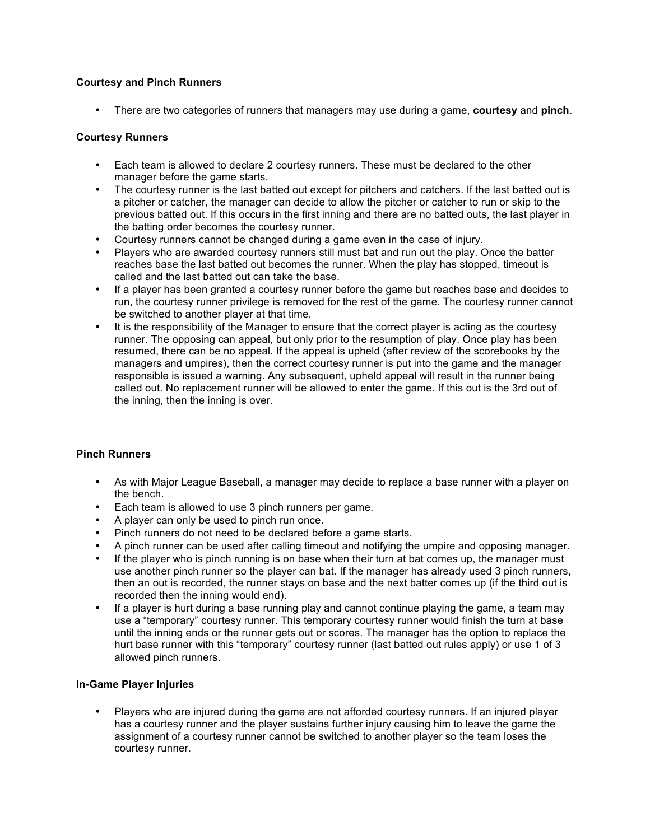# **Courtesy and Pinch Runners**

• There are two categories of runners that managers may use during a game, **courtesy** and **pinch**.

# **Courtesy Runners**

- Each team is allowed to declare 2 courtesy runners. These must be declared to the other manager before the game starts.
- The courtesy runner is the last batted out except for pitchers and catchers. If the last batted out is a pitcher or catcher, the manager can decide to allow the pitcher or catcher to run or skip to the previous batted out. If this occurs in the first inning and there are no batted outs, the last player in the batting order becomes the courtesy runner.
- Courtesy runners cannot be changed during a game even in the case of injury.
- Players who are awarded courtesy runners still must bat and run out the play. Once the batter reaches base the last batted out becomes the runner. When the play has stopped, timeout is called and the last batted out can take the base.
- If a player has been granted a courtesy runner before the game but reaches base and decides to run, the courtesy runner privilege is removed for the rest of the game. The courtesy runner cannot be switched to another player at that time.
- It is the responsibility of the Manager to ensure that the correct player is acting as the courtesy runner. The opposing can appeal, but only prior to the resumption of play. Once play has been resumed, there can be no appeal. If the appeal is upheld (after review of the scorebooks by the managers and umpires), then the correct courtesy runner is put into the game and the manager responsible is issued a warning. Any subsequent, upheld appeal will result in the runner being called out. No replacement runner will be allowed to enter the game. If this out is the 3rd out of the inning, then the inning is over.

# **Pinch Runners**

- As with Major League Baseball, a manager may decide to replace a base runner with a player on the bench.
- Each team is allowed to use 3 pinch runners per game.
- A player can only be used to pinch run once.
- Pinch runners do not need to be declared before a game starts.
- A pinch runner can be used after calling timeout and notifying the umpire and opposing manager.
- If the player who is pinch running is on base when their turn at bat comes up, the manager must use another pinch runner so the player can bat. If the manager has already used 3 pinch runners, then an out is recorded, the runner stays on base and the next batter comes up (if the third out is recorded then the inning would end).
- If a player is hurt during a base running play and cannot continue playing the game, a team may use a "temporary" courtesy runner. This temporary courtesy runner would finish the turn at base until the inning ends or the runner gets out or scores. The manager has the option to replace the hurt base runner with this "temporary" courtesy runner (last batted out rules apply) or use 1 of 3 allowed pinch runners.

# **In-Game Player Injuries**

• Players who are injured during the game are not afforded courtesy runners. If an injured player has a courtesy runner and the player sustains further injury causing him to leave the game the assignment of a courtesy runner cannot be switched to another player so the team loses the courtesy runner.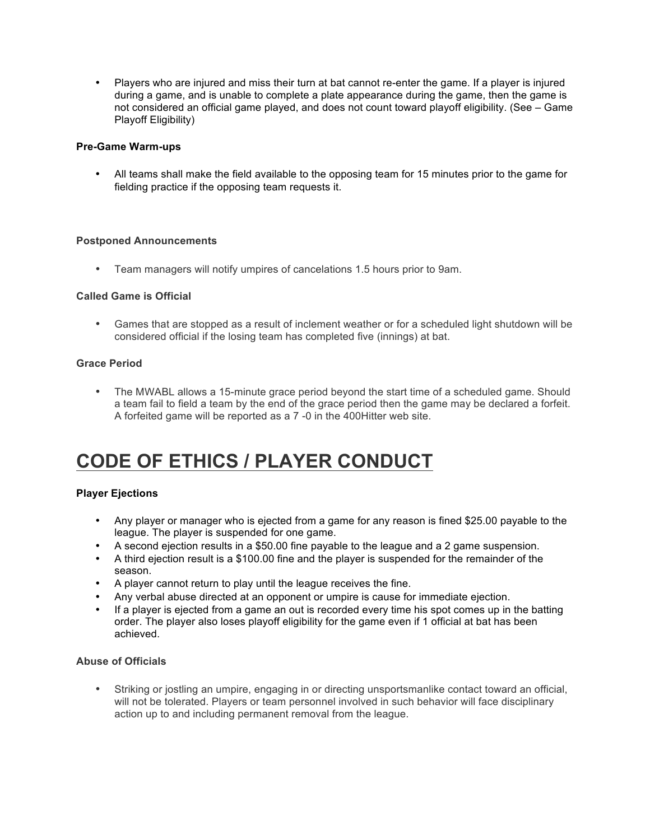• Players who are injured and miss their turn at bat cannot re-enter the game. If a player is injured during a game, and is unable to complete a plate appearance during the game, then the game is not considered an official game played, and does not count toward playoff eligibility. (See – Game Playoff Eligibility)

### **Pre-Game Warm-ups**

• All teams shall make the field available to the opposing team for 15 minutes prior to the game for fielding practice if the opposing team requests it.

### **Postponed Announcements**

• Team managers will notify umpires of cancelations 1.5 hours prior to 9am.

### **Called Game is Official**

• Games that are stopped as a result of inclement weather or for a scheduled light shutdown will be considered official if the losing team has completed five (innings) at bat.

### **Grace Period**

• The MWABL allows a 15-minute grace period beyond the start time of a scheduled game. Should a team fail to field a team by the end of the grace period then the game may be declared a forfeit. A forfeited game will be reported as a 7 -0 in the 400Hitter web site.

# **CODE OF ETHICS / PLAYER CONDUCT**

#### **Player Ejections**

- Any player or manager who is ejected from a game for any reason is fined \$25.00 payable to the league. The player is suspended for one game.
- A second ejection results in a \$50.00 fine payable to the league and a 2 game suspension.
- A third ejection result is a \$100.00 fine and the player is suspended for the remainder of the season.
- A player cannot return to play until the league receives the fine.
- Any verbal abuse directed at an opponent or umpire is cause for immediate ejection.
- If a player is ejected from a game an out is recorded every time his spot comes up in the batting order. The player also loses playoff eligibility for the game even if 1 official at bat has been achieved.

#### **Abuse of Officials**

• Striking or jostling an umpire, engaging in or directing unsportsmanlike contact toward an official, will not be tolerated. Players or team personnel involved in such behavior will face disciplinary action up to and including permanent removal from the league.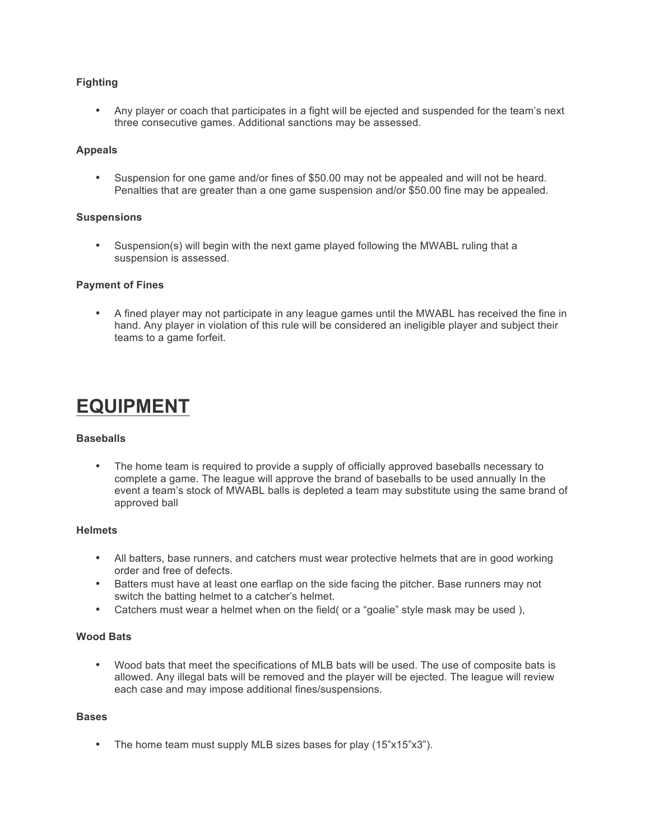# **Fighting**

• Any player or coach that participates in a fight will be ejected and suspended for the team's next three consecutive games. Additional sanctions may be assessed.

### **Appeals**

• Suspension for one game and/or fines of \$50.00 may not be appealed and will not be heard. Penalties that are greater than a one game suspension and/or \$50.00 fine may be appealed.

#### **Suspensions**

• Suspension(s) will begin with the next game played following the MWABL ruling that a suspension is assessed.

### **Payment of Fines**

• A fined player may not participate in any league games until the MWABL has received the fine in hand. Any player in violation of this rule will be considered an ineligible player and subject their teams to a game forfeit.

# **EQUIPMENT**

### **Baseballs**

• The home team is required to provide a supply of officially approved baseballs necessary to complete a game. The league will approve the brand of baseballs to be used annually In the event a team's stock of MWABL balls is depleted a team may substitute using the same brand of approved ball

#### **Helmets**

- All batters, base runners, and catchers must wear protective helmets that are in good working order and free of defects.
- Batters must have at least one earflap on the side facing the pitcher. Base runners may not switch the batting helmet to a catcher's helmet.
- Catchers must wear a helmet when on the field (or a "goalie" style mask may be used),

### **Wood Bats**

• Wood bats that meet the specifications of MLB bats will be used. The use of composite bats is allowed. Any illegal bats will be removed and the player will be ejected. The league will review each case and may impose additional fines/suspensions.

#### **Bases**

• The home team must supply MLB sizes bases for play (15"x15"x3").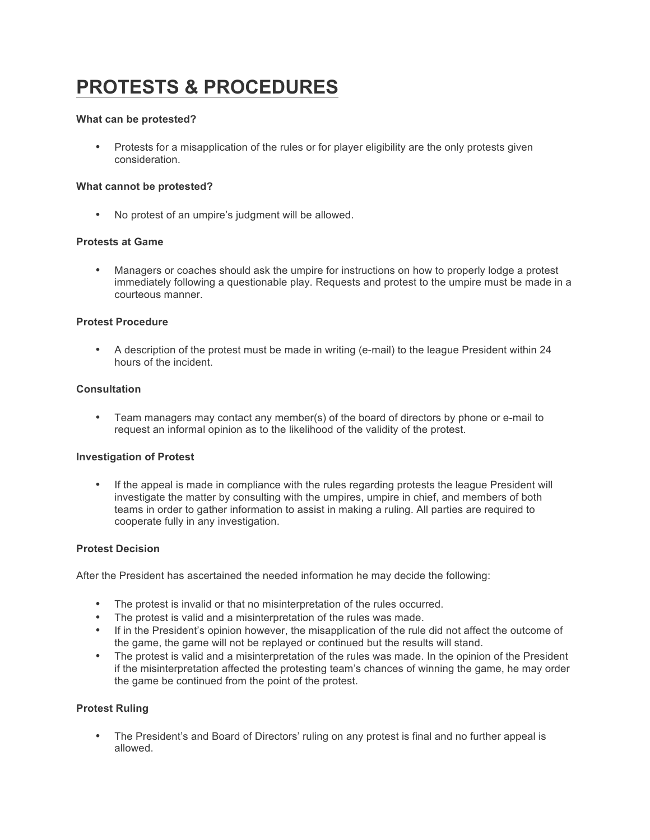# **PROTESTS & PROCEDURES**

#### **What can be protested?**

• Protests for a misapplication of the rules or for player eligibility are the only protests given consideration.

### **What cannot be protested?**

• No protest of an umpire's judgment will be allowed.

### **Protests at Game**

• Managers or coaches should ask the umpire for instructions on how to properly lodge a protest immediately following a questionable play. Requests and protest to the umpire must be made in a courteous manner.

### **Protest Procedure**

• A description of the protest must be made in writing (e-mail) to the league President within 24 hours of the incident.

#### **Consultation**

• Team managers may contact any member(s) of the board of directors by phone or e-mail to request an informal opinion as to the likelihood of the validity of the protest.

#### **Investigation of Protest**

• If the appeal is made in compliance with the rules regarding protests the league President will investigate the matter by consulting with the umpires, umpire in chief, and members of both teams in order to gather information to assist in making a ruling. All parties are required to cooperate fully in any investigation.

#### **Protest Decision**

After the President has ascertained the needed information he may decide the following:

- The protest is invalid or that no misinterpretation of the rules occurred.
- The protest is valid and a misinterpretation of the rules was made.
- If in the President's opinion however, the misapplication of the rule did not affect the outcome of the game, the game will not be replayed or continued but the results will stand.
- The protest is valid and a misinterpretation of the rules was made. In the opinion of the President if the misinterpretation affected the protesting team's chances of winning the game, he may order the game be continued from the point of the protest.

#### **Protest Ruling**

• The President's and Board of Directors' ruling on any protest is final and no further appeal is allowed.